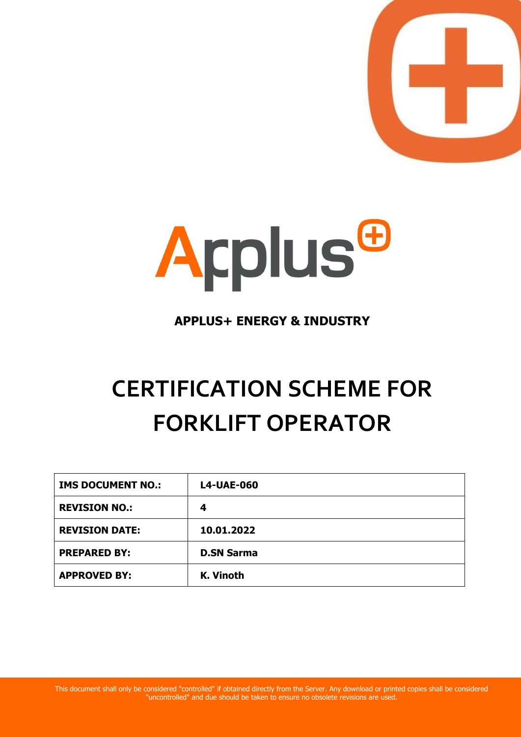



### **APPLUS+ ENERGY & INDUSTRY**

# **CERTIFICATION SCHEME FOR FORKLIFT OPERATOR**

| <b>IMS DOCUMENT NO.:</b> | <b>L4-UAE-060</b> |
|--------------------------|-------------------|
| <b>REVISION NO.:</b>     | 4                 |
| <b>REVISION DATE:</b>    | 10.01.2022        |
| <b>PREPARED BY:</b>      | <b>D.SN Sarma</b> |
| <b>APPROVED BY:</b>      | K. Vinoth         |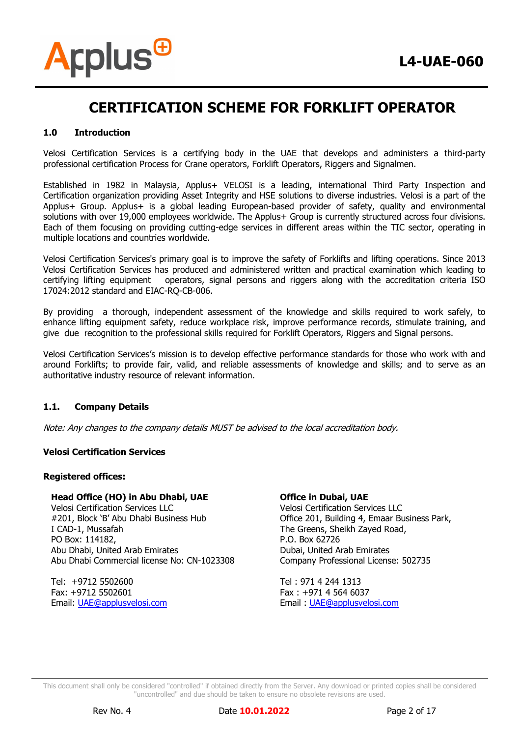

#### **1.0 Introduction**

Velosi Certification Services is a certifying body in the UAE that develops and administers a third-party professional certification Process for Crane operators, Forklift Operators, Riggers and Signalmen.

Established in 1982 in Malaysia, Applus+ VELOSI is a leading, international Third Party Inspection and Certification organization providing Asset Integrity and HSE solutions to diverse industries. Velosi is a part of the Applus+ Group. Applus+ is a global leading European-based provider of safety, quality and environmental solutions with over 19,000 employees worldwide. The Applus+ Group is currently structured across four divisions. Each of them focusing on providing cutting-edge services in different areas within the TIC sector, operating in multiple locations and countries worldwide.

Velosi Certification Services's primary goal is to improve the safety of Forklifts and lifting operations. Since 2013 Velosi Certification Services has produced and administered written and practical examination which leading to certifying lifting equipment operators, signal persons and riggers along with the accreditation criteria ISO 17024:2012 standard and EIAC-RQ-CB-006.

By providing a thorough, independent assessment of the knowledge and skills required to work safely, to enhance lifting equipment safety, reduce workplace risk, improve performance records, stimulate training, and give due recognition to the professional skills required for Forklift Operators, Riggers and Signal persons.

Velosi Certification Services's mission is to develop effective performance standards for those who work with and around Forklifts; to provide fair, valid, and reliable assessments of knowledge and skills; and to serve as an authoritative industry resource of relevant information.

#### **1.1. Company Details**

Note: Any changes to the company details MUST be advised to the local accreditation body.

#### **Velosi Certification Services**

#### **Registered offices:**

#### **Head Office (HO) in Abu Dhabi, UAE**

Velosi Certification Services LLC #201, Block 'B' Abu Dhabi Business Hub I CAD-1, Mussafah PO Box: 114182, Abu Dhabi, United Arab Emirates Abu Dhabi Commercial license No: CN-1023308

Tel: +9712 5502600 Fax: +9712 5502601 Email: [UAE@applusvelosi.com](mailto:UAE@applusvelosi.com)

#### **Office in Dubai, UAE**

Velosi Certification Services LLC Office 201, Building 4, Emaar Business Park, The Greens, Sheikh Zayed Road, P.O. Box 62726 Dubai, United Arab Emirates Company Professional License: 502735

Tel : 971 4 244 1313 Fax : +971 4 564 6037 Email : [UAE@applusvelosi.com](mailto:UAE@applusvelosi.com)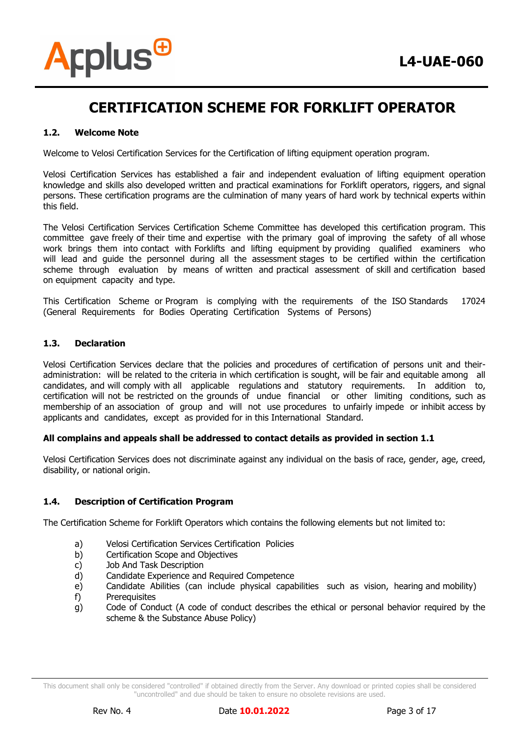

#### **1.2. Welcome Note**

Welcome to Velosi Certification Services for the Certification of lifting equipment operation program.

Velosi Certification Services has established a fair and independent evaluation of lifting equipment operation knowledge and skills also developed written and practical examinations for Forklift operators, riggers, and signal persons. These certification programs are the culmination of many years of hard work by technical experts within this field.

The Velosi Certification Services Certification Scheme Committee has developed this certification program. This committee gave freely of their time and expertise with the primary goal of improving the safety of all whose work brings them into contact with Forklifts and lifting equipment by providing qualified examiners who will lead and guide the personnel during all the assessment stages to be certified within the certification scheme through evaluation by means of written and practical assessment of skill and certification based on equipment capacity and type.

This Certification Scheme or Program is complying with the requirements of the ISO Standards 17024 (General Requirements for Bodies Operating Certification Systems of Persons)

#### **1.3. Declaration**

Velosi Certification Services declare that the policies and procedures of certification of persons unit and theiradministration: will be related to the criteria in which certification is sought, will be fair and equitable among all candidates, and will comply with all applicable regulations and statutory requirements. In addition to, certification will not be restricted on the grounds of undue financial or other limiting conditions, such as membership of an association of group and will not use procedures to unfairly impede or inhibit access by applicants and candidates, except as provided for in this International Standard.

#### **All complains and appeals shall be addressed to contact details as provided in section 1.1**

Velosi Certification Services does not discriminate against any individual on the basis of race, gender, age, creed, disability, or national origin.

#### **1.4. Description of Certification Program**

The Certification Scheme for Forklift Operators which contains the following elements but not limited to:

- a) Velosi Certification Services Certification Policies
- b) Certification Scope and Objectives
- c) Job And Task Description
- d) Candidate Experience and Required Competence
- e) Candidate Abilities (can include physical capabilities such as vision, hearing and mobility)
- f) Prerequisites
- g) Code of Conduct (A code of conduct describes the ethical or personal behavior required by the scheme & the Substance Abuse Policy)

This document shall only be considered "controlled" if obtained directly from the Server. Any download or printed copies shall be considered "uncontrolled" and due should be taken to ensure no obsolete revisions are used.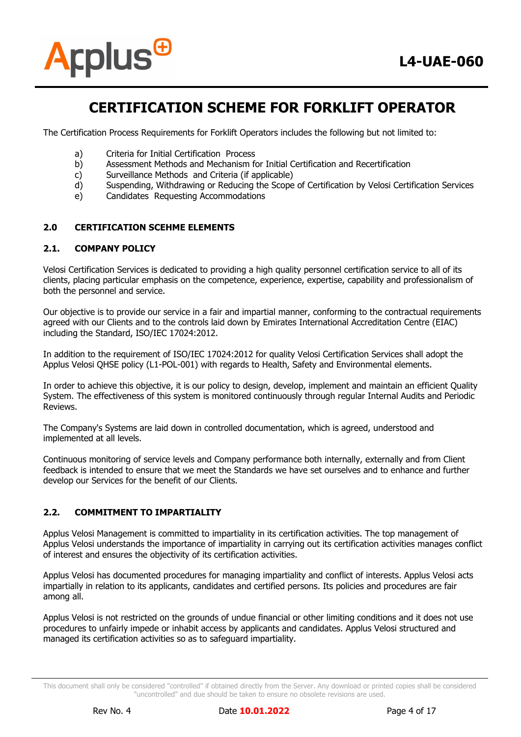

The Certification Process Requirements for Forklift Operators includes the following but not limited to:

- a) Criteria for Initial Certification Process
- b) Assessment Methods and Mechanism for Initial Certification and Recertification
- c) Surveillance Methods and Criteria (if applicable)
- d) Suspending, Withdrawing or Reducing the Scope of Certification by Velosi Certification Services
- e) Candidates Requesting Accommodations

#### **2.0 CERTIFICATION SCEHME ELEMENTS**

#### **2.1. COMPANY POLICY**

Velosi Certification Services is dedicated to providing a high quality personnel certification service to all of its clients, placing particular emphasis on the competence, experience, expertise, capability and professionalism of both the personnel and service.

Our objective is to provide our service in a fair and impartial manner, conforming to the contractual requirements agreed with our Clients and to the controls laid down by Emirates International Accreditation Centre (EIAC) including the Standard, ISO/IEC 17024:2012.

In addition to the requirement of ISO/IEC 17024:2012 for quality Velosi Certification Services shall adopt the Applus Velosi QHSE policy (L1-POL-001) with regards to Health, Safety and Environmental elements.

In order to achieve this objective, it is our policy to design, develop, implement and maintain an efficient Quality System. The effectiveness of this system is monitored continuously through regular Internal Audits and Periodic Reviews.

The Company's Systems are laid down in controlled documentation, which is agreed, understood and implemented at all levels.

Continuous monitoring of service levels and Company performance both internally, externally and from Client feedback is intended to ensure that we meet the Standards we have set ourselves and to enhance and further develop our Services for the benefit of our Clients.

#### **2.2. COMMITMENT TO IMPARTIALITY**

Applus Velosi Management is committed to impartiality in its certification activities. The top management of Applus Velosi understands the importance of impartiality in carrying out its certification activities manages conflict of interest and ensures the objectivity of its certification activities.

Applus Velosi has documented procedures for managing impartiality and conflict of interests. Applus Velosi acts impartially in relation to its applicants, candidates and certified persons. Its policies and procedures are fair among all.

Applus Velosi is not restricted on the grounds of undue financial or other limiting conditions and it does not use procedures to unfairly impede or inhabit access by applicants and candidates. Applus Velosi structured and managed its certification activities so as to safeguard impartiality.

This document shall only be considered "controlled" if obtained directly from the Server. Any download or printed copies shall be considered "uncontrolled" and due should be taken to ensure no obsolete revisions are used.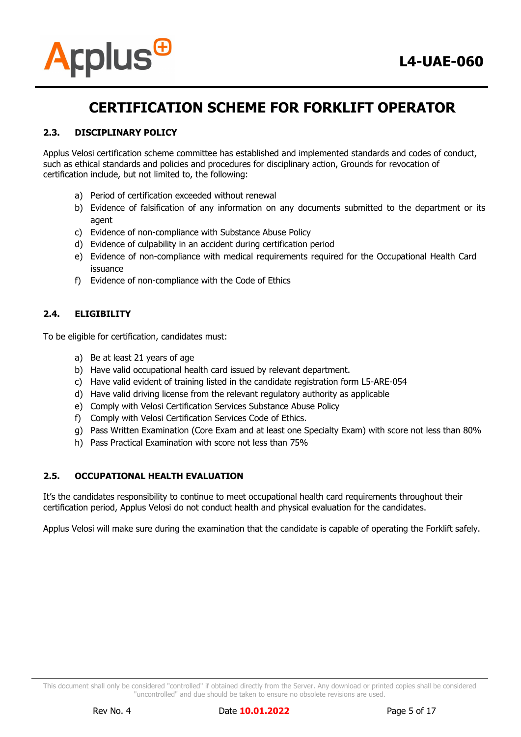



#### **2.3. DISCIPLINARY POLICY**

Applus Velosi certification scheme committee has established and implemented standards and codes of conduct, such as ethical standards and policies and procedures for disciplinary action, Grounds for revocation of certification include, but not limited to, the following:

- a) Period of certification exceeded without renewal
- b) Evidence of falsification of any information on any documents submitted to the department or its agent
- c) Evidence of non-compliance with Substance Abuse Policy
- d) Evidence of culpability in an accident during certification period
- e) Evidence of non-compliance with medical requirements required for the Occupational Health Card issuance
- f) Evidence of non-compliance with the Code of Ethics

#### **2.4. ELIGIBILITY**

To be eligible for certification, candidates must:

- a) Be at least 21 years of age
- b) Have valid occupational health card issued by relevant department.
- c) Have valid evident of training listed in the candidate registration form L5-ARE-054
- d) Have valid driving license from the relevant regulatory authority as applicable
- e) Comply with Velosi Certification Services Substance Abuse Policy
- f) Comply with Velosi Certification Services Code of Ethics.
- g) Pass Written Examination (Core Exam and at least one Specialty Exam) with score not less than 80%
- h) Pass Practical Examination with score not less than 75%

#### **2.5. OCCUPATIONAL HEALTH EVALUATION**

It's the candidates responsibility to continue to meet occupational health card requirements throughout their certification period, Applus Velosi do not conduct health and physical evaluation for the candidates.

Applus Velosi will make sure during the examination that the candidate is capable of operating the Forklift safely.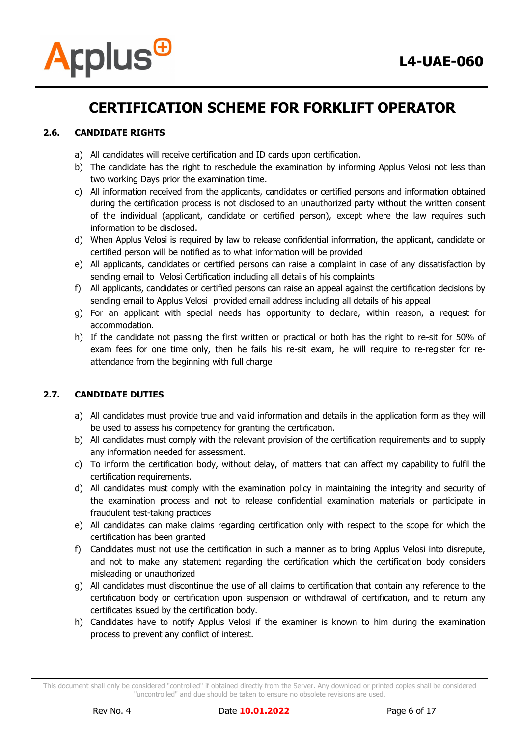

#### **2.6. CANDIDATE RIGHTS**

- a) All candidates will receive certification and ID cards upon certification.
- b) The candidate has the right to reschedule the examination by informing Applus Velosi not less than two working Days prior the examination time.
- c) All information received from the applicants, candidates or certified persons and information obtained during the certification process is not disclosed to an unauthorized party without the written consent of the individual (applicant, candidate or certified person), except where the law requires such information to be disclosed.
- d) When Applus Velosi is required by law to release confidential information, the applicant, candidate or certified person will be notified as to what information will be provided
- e) All applicants, candidates or certified persons can raise a complaint in case of any dissatisfaction by sending email to Velosi Certification including all details of his complaints
- f) All applicants, candidates or certified persons can raise an appeal against the certification decisions by sending email to Applus Velosi provided email address including all details of his appeal
- g) For an applicant with special needs has opportunity to declare, within reason, a request for accommodation.
- h) If the candidate not passing the first written or practical or both has the right to re-sit for 50% of exam fees for one time only, then he fails his re-sit exam, he will require to re-register for reattendance from the beginning with full charge

#### **2.7. CANDIDATE DUTIES**

- a) All candidates must provide true and valid information and details in the application form as they will be used to assess his competency for granting the certification.
- b) All candidates must comply with the relevant provision of the certification requirements and to supply any information needed for assessment.
- c) To inform the certification body, without delay, of matters that can affect my capability to fulfil the certification requirements.
- d) All candidates must comply with the examination policy in maintaining the integrity and security of the examination process and not to release confidential examination materials or participate in fraudulent test-taking practices
- e) All candidates can make claims regarding certification only with respect to the scope for which the certification has been granted
- f) Candidates must not use the certification in such a manner as to bring Applus Velosi into disrepute, and not to make any statement regarding the certification which the certification body considers misleading or unauthorized
- g) All candidates must discontinue the use of all claims to certification that contain any reference to the certification body or certification upon suspension or withdrawal of certification, and to return any certificates issued by the certification body.
- h) Candidates have to notify Applus Velosi if the examiner is known to him during the examination process to prevent any conflict of interest.

This document shall only be considered "controlled" if obtained directly from the Server. Any download or printed copies shall be considered "uncontrolled" and due should be taken to ensure no obsolete revisions are used.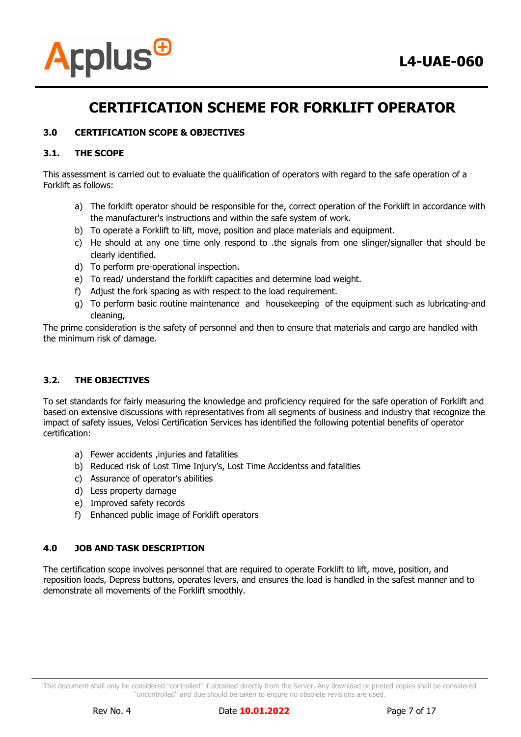

#### **3.0 CERTIFICATION SCOPE & OBJECTIVES**

#### **3.1. THE SCOPE**

This assessment is carried out to evaluate the qualification of operators with regard to the safe operation of a Forklift as follows:

- a) The forklift operator should be responsible for the, correct operation of the Forklift in accordance with the manufacturer's instructions and within the safe system of work.
- b) To operate a Forklift to lift, move, position and place materials and equipment.
- c) He should at any one time only respond to .the signals from one slinger/signaller that should be clearly identified.
- d) To perform pre-operational inspection.
- e) To read/ understand the forklift capacities and determine load weight.
- f) Adjust the fork spacing as with respect to the load requirement.
- g) To perform basic routine maintenance and housekeeping of the equipment such as lubricating-and cleaning,

The prime consideration is the safety of personnel and then to ensure that materials and cargo are handled with the minimum risk of damage.

#### **3.2. THE OBJECTIVES**

To set standards for fairly measuring the knowledge and proficiency required for the safe operation of Forklift and based on extensive discussions with representatives from all segments of business and industry that recognize the impact of safety issues, Velosi Certification Services has identified the following potential benefits of operator certification:

- a) Fewer accidents ,injuries and fatalities
- b) Reduced risk of Lost Time Injury's, Lost Time Accidentss and fatalities
- c) Assurance of operator's abilities
- d) Less property damage
- e) Improved safety records
- f) Enhanced public image of Forklift operators

#### **4.0 JOB AND TASK DESCRIPTION**

The certification scope involves personnel that are required to operate Forklift to lift, move, position, and reposition loads, Depress buttons, operates levers, and ensures the load is handled in the safest manner and to demonstrate all movements of the Forklift smoothly.

This document shall only be considered "controlled" if obtained directly from the Server. Any download or printed copies shall be considered "uncontrolled" and due should be taken to ensure no obsolete revisions are used.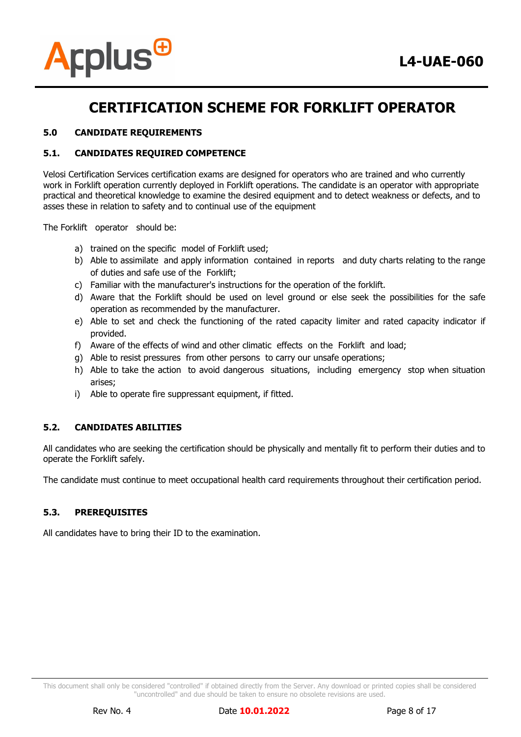

#### **5.0 CANDIDATE REQUIREMENTS**

#### **5.1. CANDIDATES REQUIRED COMPETENCE**

Velosi Certification Services certification exams are designed for operators who are trained and who currently work in Forklift operation currently deployed in Forklift operations. The candidate is an operator with appropriate practical and theoretical knowledge to examine the desired equipment and to detect weakness or defects, and to asses these in relation to safety and to continual use of the equipment

The Forklift operator should be:

- a) trained on the specific model of Forklift used;
- b) Able to assimilate and apply information contained in reports and duty charts relating to the range of duties and safe use of the Forklift;
- c) Familiar with the manufacturer's instructions for the operation of the forklift.
- d) Aware that the Forklift should be used on level ground or else seek the possibilities for the safe operation as recommended by the manufacturer.
- e) Able to set and check the functioning of the rated capacity limiter and rated capacity indicator if provided.
- f) Aware of the effects of wind and other climatic effects on the Forklift and load;
- g) Able to resist pressures from other persons to carry our unsafe operations;
- h) Able to take the action to avoid dangerous situations, including emergency stop when situation arises;
- i) Able to operate fire suppressant equipment, if fitted.

#### **5.2. CANDIDATES ABILITIES**

All candidates who are seeking the certification should be physically and mentally fit to perform their duties and to operate the Forklift safely.

The candidate must continue to meet occupational health card requirements throughout their certification period.

#### **5.3. PREREQUISITES**

All candidates have to bring their ID to the examination.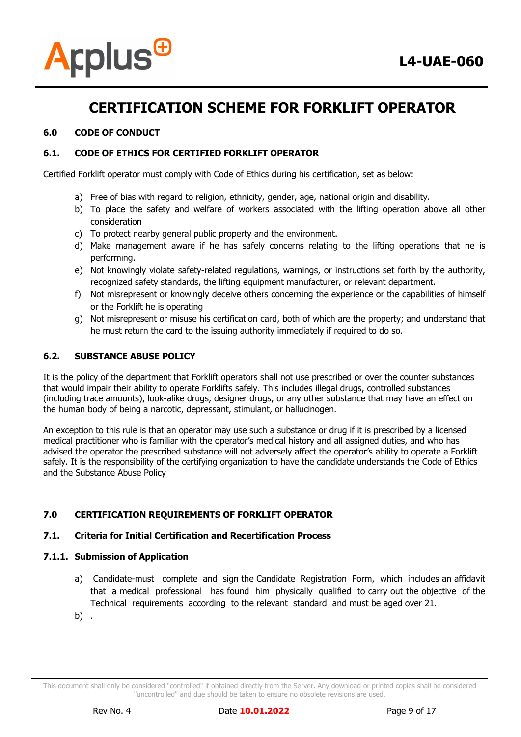

#### **6.0 CODE OF CONDUCT**

#### **6.1. CODE OF ETHICS FOR CERTIFIED FORKLIFT OPERATOR**

Certified Forklift operator must comply with Code of Ethics during his certification, set as below:

- a) Free of bias with regard to religion, ethnicity, gender, age, national origin and disability.
- b) To place the safety and welfare of workers associated with the lifting operation above all other consideration
- c) To protect nearby general public property and the environment.
- d) Make management aware if he has safely concerns relating to the lifting operations that he is performing.
- e) Not knowingly violate safety-related regulations, warnings, or instructions set forth by the authority, recognized safety standards, the lifting equipment manufacturer, or relevant department.
- f) Not misrepresent or knowingly deceive others concerning the experience or the capabilities of himself or the Forklift he is operating
- g) Not misrepresent or misuse his certification card, both of which are the property; and understand that he must return the card to the issuing authority immediately if required to do so.

#### **6.2. SUBSTANCE ABUSE POLICY**

It is the policy of the department that Forklift operators shall not use prescribed or over the counter substances that would impair their ability to operate Forklifts safely. This includes illegal drugs, controlled substances (including trace amounts), look-alike drugs, designer drugs, or any other substance that may have an effect on the human body of being a narcotic, depressant, stimulant, or hallucinogen.

An exception to this rule is that an operator may use such a substance or drug if it is prescribed by a licensed medical practitioner who is familiar with the operator's medical history and all assigned duties, and who has advised the operator the prescribed substance will not adversely affect the operator's ability to operate a Forklift safely. It is the responsibility of the certifying organization to have the candidate understands the Code of Ethics and the Substance Abuse Policy

#### **7.0 CERTIFICATION REQUIREMENTS OF FORKLIFT OPERATOR**

#### **7.1. Criteria for Initial Certification and Recertification Process**

#### **7.1.1. Submission of Application**

- a) Candidate-must complete and sign the Candidate Registration Form, which includes an affidavit that a medical professional has found him physically qualified to carry out the objective of the Technical requirements according to the relevant standard and must be aged over 21.
- b) .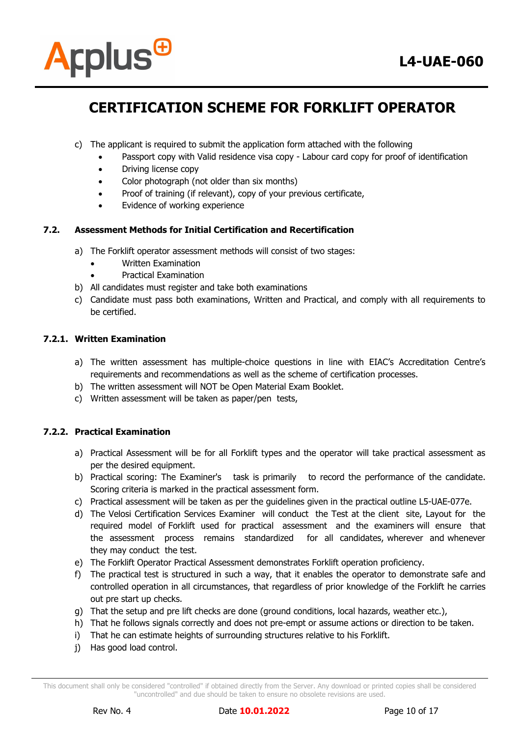

- c) The applicant is required to submit the application form attached with the following
	- Passport copy with Valid residence visa copy Labour card copy for proof of identification
	- Driving license copy
	- Color photograph (not older than six months)
	- Proof of training (if relevant), copy of your previous certificate,
	- Evidence of working experience

#### **7.2. Assessment Methods for Initial Certification and Recertification**

- a) The Forklift operator assessment methods will consist of two stages:
	- Written Examination
	- Practical Examination
- b) All candidates must register and take both examinations
- c) Candidate must pass both examinations, Written and Practical, and comply with all requirements to be certified.

#### **7.2.1. Written Examination**

- a) The written assessment has multiple-choice questions in line with EIAC's Accreditation Centre's requirements and recommendations as well as the scheme of certification processes.
- b) The written assessment will NOT be Open Material Exam Booklet.
- c) Written assessment will be taken as paper/pen tests,

#### **7.2.2. Practical Examination**

- a) Practical Assessment will be for all Forklift types and the operator will take practical assessment as per the desired equipment.
- b) Practical scoring: The Examiner's task is primarily to record the performance of the candidate. Scoring criteria is marked in the practical assessment form.
- c) Practical assessment will be taken as per the guidelines given in the practical outline L5-UAE-077e.
- d) The Velosi Certification Services Examiner will conduct the Test at the client site, Layout for the required model of Forklift used for practical assessment and the examiners will ensure that the assessment process remains standardized for all candidates, wherever and whenever they may conduct the test.
- e) The Forklift Operator Practical Assessment demonstrates Forklift operation proficiency.
- f) The practical test is structured in such a way, that it enables the operator to demonstrate safe and controlled operation in all circumstances, that regardless of prior knowledge of the Forklift he carries out pre start up checks.
- g) That the setup and pre lift checks are done (ground conditions, local hazards, weather etc.),
- h) That he follows signals correctly and does not pre-empt or assume actions or direction to be taken.
- i) That he can estimate heights of surrounding structures relative to his Forklift.
- j) Has good load control.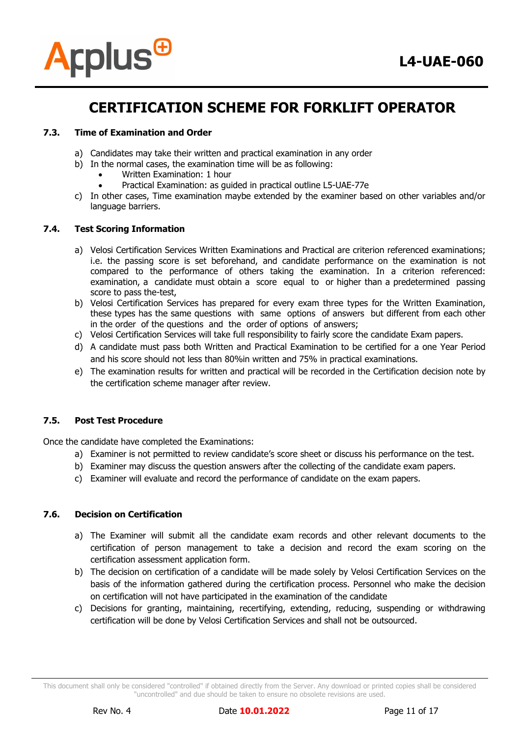

#### **7.3. Time of Examination and Order**

- a) Candidates may take their written and practical examination in any order
- b) In the normal cases, the examination time will be as following:
	- Written Examination: 1 hour
	- Practical Examination: as guided in practical outline L5-UAE-77e
- c) In other cases, Time examination maybe extended by the examiner based on other variables and/or language barriers.

#### **7.4. Test Scoring Information**

- a) Velosi Certification Services Written Examinations and Practical are criterion referenced examinations; i.e. the passing score is set beforehand, and candidate performance on the examination is not compared to the performance of others taking the examination. In a criterion referenced: examination, a candidate must obtain a score equal to or higher than a predetermined passing score to pass the-test,
- b) Velosi Certification Services has prepared for every exam three types for the Written Examination, these types has the same questions with same options of answers but different from each other in the order of the questions and the order of options of answers;
- c) Velosi Certification Services will take full responsibility to fairly score the candidate Exam papers.
- d) A candidate must pass both Written and Practical Examination to be certified for a one Year Period and his score should not less than 80%in written and 75% in practical examinations.
- e) The examination results for written and practical will be recorded in the Certification decision note by the certification scheme manager after review.

#### **7.5. Post Test Procedure**

Once the candidate have completed the Examinations:

- a) Examiner is not permitted to review candidate's score sheet or discuss his performance on the test.
- b) Examiner may discuss the question answers after the collecting of the candidate exam papers.
- c) Examiner will evaluate and record the performance of candidate on the exam papers.

#### **7.6. Decision on Certification**

- a) The Examiner will submit all the candidate exam records and other relevant documents to the certification of person management to take a decision and record the exam scoring on the certification assessment application form.
- b) The decision on certification of a candidate will be made solely by Velosi Certification Services on the basis of the information gathered during the certification process. Personnel who make the decision on certification will not have participated in the examination of the candidate
- c) Decisions for granting, maintaining, recertifying, extending, reducing, suspending or withdrawing certification will be done by Velosi Certification Services and shall not be outsourced.

This document shall only be considered "controlled" if obtained directly from the Server. Any download or printed copies shall be considered "uncontrolled" and due should be taken to ensure no obsolete revisions are used.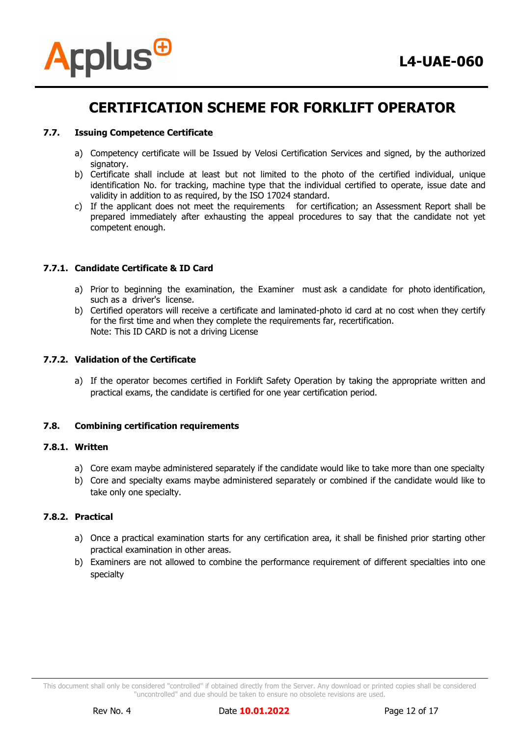

#### **7.7. Issuing Competence Certificate**

- a) Competency certificate will be Issued by Velosi Certification Services and signed, by the authorized signatory.
- b) Certificate shall include at least but not limited to the photo of the certified individual, unique identification No. for tracking, machine type that the individual certified to operate, issue date and validity in addition to as required, by the ISO 17024 standard.
- c) If the applicant does not meet the requirements for certification; an Assessment Report shall be prepared immediately after exhausting the appeal procedures to say that the candidate not yet competent enough.

#### **7.7.1. Candidate Certificate & ID Card**

- a) Prior to beginning the examination, the Examiner must ask a candidate for photo identification, such as a driver's license.
- b) Certified operators will receive a certificate and laminated-photo id card at no cost when they certify for the first time and when they complete the requirements far, recertification. Note: This ID CARD is not a driving License

#### **7.7.2. Validation of the Certificate**

a) If the operator becomes certified in Forklift Safety Operation by taking the appropriate written and practical exams, the candidate is certified for one year certification period.

#### **7.8. Combining certification requirements**

#### **7.8.1. Written**

- a) Core exam maybe administered separately if the candidate would like to take more than one specialty
- b) Core and specialty exams maybe administered separately or combined if the candidate would like to take only one specialty.

#### **7.8.2. Practical**

- a) Once a practical examination starts for any certification area, it shall be finished prior starting other practical examination in other areas.
- b) Examiners are not allowed to combine the performance requirement of different specialties into one specialty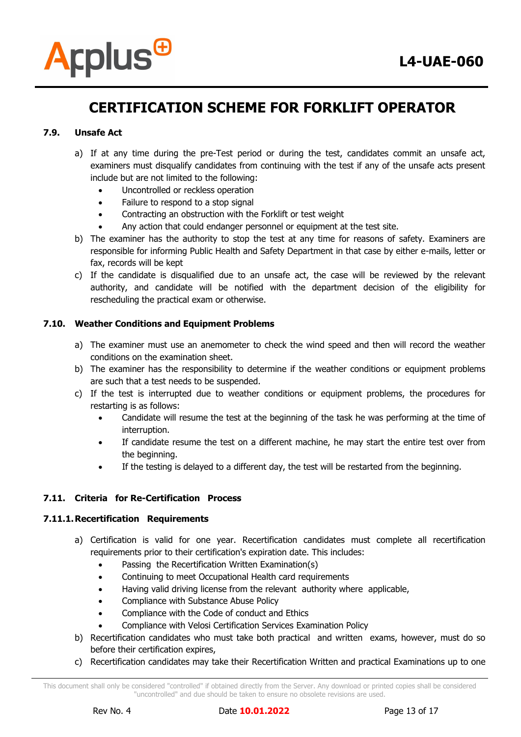

#### **7.9. Unsafe Act**

- a) If at any time during the pre-Test period or during the test, candidates commit an unsafe act, examiners must disqualify candidates from continuing with the test if any of the unsafe acts present include but are not limited to the following:
	- Uncontrolled or reckless operation
	- Failure to respond to a stop signal
	- Contracting an obstruction with the Forklift or test weight
	- Any action that could endanger personnel or equipment at the test site.
- b) The examiner has the authority to stop the test at any time for reasons of safety. Examiners are responsible for informing Public Health and Safety Department in that case by either e-mails, letter or fax, records will be kept
- c) If the candidate is disqualified due to an unsafe act, the case will be reviewed by the relevant authority, and candidate will be notified with the department decision of the eligibility for rescheduling the practical exam or otherwise.

#### **7.10. Weather Conditions and Equipment Problems**

- a) The examiner must use an anemometer to check the wind speed and then will record the weather conditions on the examination sheet.
- b) The examiner has the responsibility to determine if the weather conditions or equipment problems are such that a test needs to be suspended.
- c) If the test is interrupted due to weather conditions or equipment problems, the procedures for restarting is as follows:
	- Candidate will resume the test at the beginning of the task he was performing at the time of interruption.
	- If candidate resume the test on a different machine, he may start the entire test over from the beginning.
	- If the testing is delayed to a different day, the test will be restarted from the beginning.

#### **7.11. Criteria for Re-Certification Process**

#### **7.11.1.Recertification Requirements**

- a) Certification is valid for one year. Recertification candidates must complete all recertification requirements prior to their certification's expiration date. This includes:
	- Passing the Recertification Written Examination(s)
	- Continuing to meet Occupational Health card requirements
	- Having valid driving license from the relevant authority where applicable,
	- Compliance with Substance Abuse Policy
	- Compliance with the Code of conduct and Ethics
	- Compliance with Velosi Certification Services Examination Policy
- b) Recertification candidates who must take both practical and written exams, however, must do so before their certification expires,
- c) Recertification candidates may take their Recertification Written and practical Examinations up to one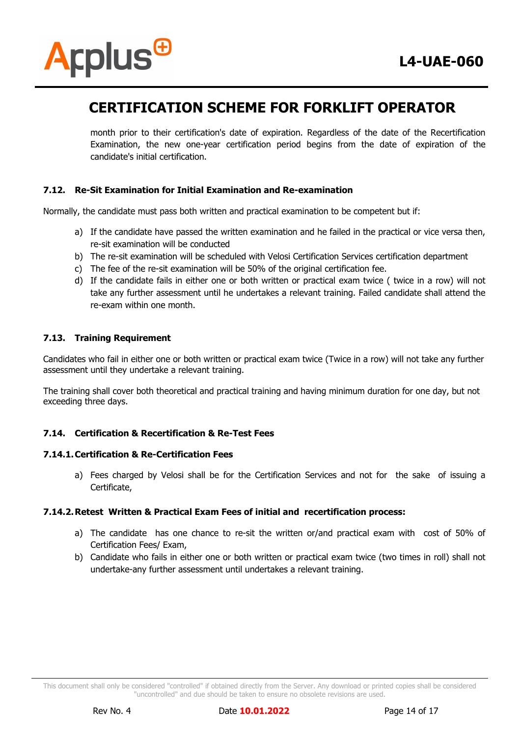

month prior to their certification's date of expiration. Regardless of the date of the Recertification Examination, the new one-year certification period begins from the date of expiration of the candidate's initial certification.

#### **7.12. Re-Sit Examination for Initial Examination and Re-examination**

Normally, the candidate must pass both written and practical examination to be competent but if:

- a) If the candidate have passed the written examination and he failed in the practical or vice versa then, re-sit examination will be conducted
- b) The re-sit examination will be scheduled with Velosi Certification Services certification department
- c) The fee of the re-sit examination will be 50% of the original certification fee.
- d) If the candidate fails in either one or both written or practical exam twice ( twice in a row) will not take any further assessment until he undertakes a relevant training. Failed candidate shall attend the re-exam within one month.

#### **7.13. Training Requirement**

Candidates who fail in either one or both written or practical exam twice (Twice in a row) will not take any further assessment until they undertake a relevant training.

The training shall cover both theoretical and practical training and having minimum duration for one day, but not exceeding three days.

#### **7.14. Certification & Recertification & Re-Test Fees**

#### **7.14.1.Certification & Re-Certification Fees**

a) Fees charged by Velosi shall be for the Certification Services and not for the sake of issuing a Certificate,

#### **7.14.2.Retest Written & Practical Exam Fees of initial and recertification process:**

- a) The candidate has one chance to re-sit the written or/and practical exam with cost of 50% of Certification Fees/ Exam,
- b) Candidate who fails in either one or both written or practical exam twice (two times in roll) shall not undertake-any further assessment until undertakes a relevant training.

This document shall only be considered "controlled" if obtained directly from the Server. Any download or printed copies shall be considered "uncontrolled" and due should be taken to ensure no obsolete revisions are used.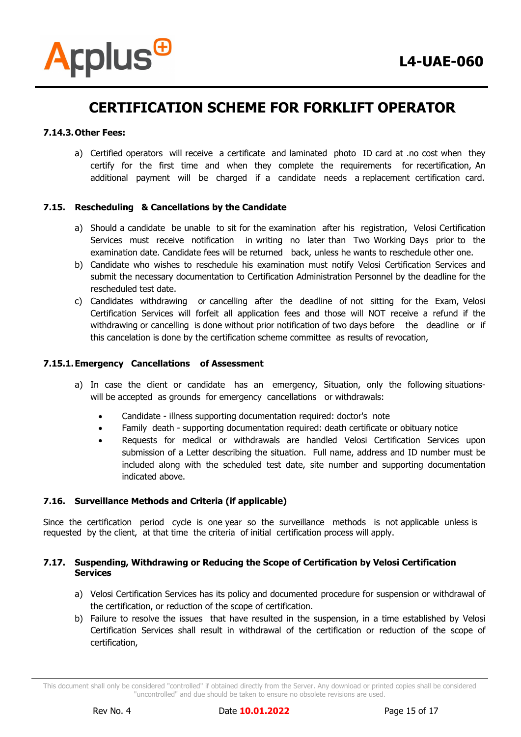

#### **7.14.3.Other Fees:**

a) Certified operators will receive a certificate and laminated photo ID card at .no cost when they certify for the first time and when they complete the requirements for recertification, An additional payment will be charged if a candidate needs a replacement certification card.

#### **7.15. Rescheduling & Cancellations by the Candidate**

- a) Should a candidate be unable to sit for the examination after his registration, Velosi Certification Services must receive notification in writing no later than Two Working Days prior to the examination date. Candidate fees will be returned back, unless he wants to reschedule other one.
- b) Candidate who wishes to reschedule his examination must notify Velosi Certification Services and submit the necessary documentation to Certification Administration Personnel by the deadline for the rescheduled test date.
- c) Candidates withdrawing or cancelling after the deadline of not sitting for the Exam, Velosi Certification Services will forfeit all application fees and those will NOT receive a refund if the withdrawing or cancelling is done without prior notification of two days before the deadline or if this cancelation is done by the certification scheme committee as results of revocation,

#### **7.15.1.Emergency Cancellations of Assessment**

- a) In case the client or candidate has an emergency, Situation, only the following situationswill be accepted as grounds for emergency cancellations or withdrawals:
	- Candidate illness supporting documentation required: doctor's note
	- Family death supporting documentation required: death certificate or obituary notice
	- Requests for medical or withdrawals are handled Velosi Certification Services upon submission of a Letter describing the situation. Full name, address and ID number must be included along with the scheduled test date, site number and supporting documentation indicated above.

#### **7.16. Surveillance Methods and Criteria (if applicable)**

Since the certification period cycle is one year so the surveillance methods is not applicable unless is requested by the client, at that time the criteria of initial certification process will apply.

#### **7.17. Suspending, Withdrawing or Reducing the Scope of Certification by Velosi Certification Services**

- a) Velosi Certification Services has its policy and documented procedure for suspension or withdrawal of the certification, or reduction of the scope of certification.
- b) Failure to resolve the issues that have resulted in the suspension, in a time established by Velosi Certification Services shall result in withdrawal of the certification or reduction of the scope of certification,

This document shall only be considered "controlled" if obtained directly from the Server. Any download or printed copies shall be considered "uncontrolled" and due should be taken to ensure no obsolete revisions are used.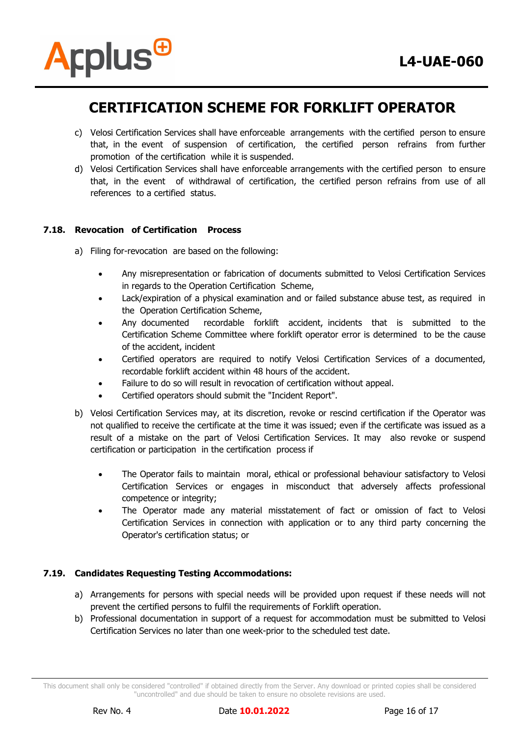

- c) Velosi Certification Services shall have enforceable arrangements with the certified person to ensure that, in the event of suspension of certification, the certified person refrains from further promotion of the certification while it is suspended.
- d) Velosi Certification Services shall have enforceable arrangements with the certified person to ensure that, in the event of withdrawal of certification, the certified person refrains from use of all references to a certified status.

#### **7.18. Revocation of Certification Process**

- a) Filing for-revocation are based on the following:
	- Any misrepresentation or fabrication of documents submitted to Velosi Certification Services in regards to the Operation Certification Scheme,
	- Lack/expiration of a physical examination and or failed substance abuse test, as required in the Operation Certification Scheme,
	- Any documented recordable forklift accident, incidents that is submitted to the Certification Scheme Committee where forklift operator error is determined to be the cause of the accident, incident
	- Certified operators are required to notify Velosi Certification Services of a documented, recordable forklift accident within 48 hours of the accident.
	- Failure to do so will result in revocation of certification without appeal.
	- Certified operators should submit the "Incident Report".
- b) Velosi Certification Services may, at its discretion, revoke or rescind certification if the Operator was not qualified to receive the certificate at the time it was issued; even if the certificate was issued as a result of a mistake on the part of Velosi Certification Services. It may also revoke or suspend certification or participation in the certification process if
	- The Operator fails to maintain moral, ethical or professional behaviour satisfactory to Velosi Certification Services or engages in misconduct that adversely affects professional competence or integrity;
	- The Operator made any material misstatement of fact or omission of fact to Velosi Certification Services in connection with application or to any third party concerning the Operator's certification status; or

#### **7.19. Candidates Requesting Testing Accommodations:**

- a) Arrangements for persons with special needs will be provided upon request if these needs will not prevent the certified persons to fulfil the requirements of Forklift operation.
- b) Professional documentation in support of a request for accommodation must be submitted to Velosi Certification Services no later than one week-prior to the scheduled test date.

This document shall only be considered "controlled" if obtained directly from the Server. Any download or printed copies shall be considered "uncontrolled" and due should be taken to ensure no obsolete revisions are used.